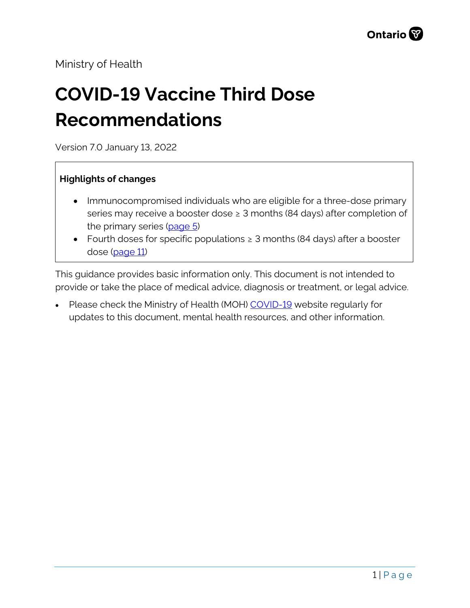Ministry of Health

# **COVID-19 Vaccine Third Dose Recommendations**

Version 7.0 January 13, 2022

#### **Highlights of changes**

- Immunocompromised individuals who are eligible for a three-dose primary series may receive a booster dose  $\geq 3$  months (84 days) after completion of the primary series [\(page 5\)](#page-3-0)
- Fourth doses for specific populations ≥ 3 months (84 days) after a booster dose [\(page 11\)](#page-10-0)

This guidance provides basic information only. This document is not intended to provide or take the place of medical advice, diagnosis or treatment, or legal advice.

Please check the Ministry of Health (MOH) [COVID-19](http://www.health.gov.on.ca/en/pro/programs/publichealth/coronavirus/2019_guidance.aspx) website regularly for updates to this document, mental health resources, and other information.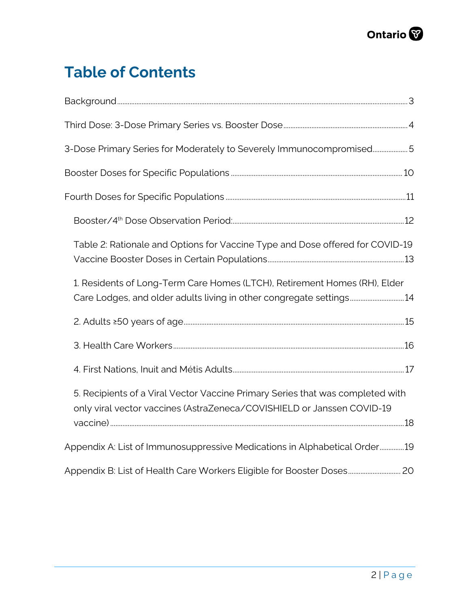# **Table of Contents**

| 3-Dose Primary Series for Moderately to Severely Immunocompromised5                                                                                      |  |
|----------------------------------------------------------------------------------------------------------------------------------------------------------|--|
|                                                                                                                                                          |  |
|                                                                                                                                                          |  |
|                                                                                                                                                          |  |
| Table 2: Rationale and Options for Vaccine Type and Dose offered for COVID-19                                                                            |  |
| 1. Residents of Long-Term Care Homes (LTCH), Retirement Homes (RH), Elder<br>Care Lodges, and older adults living in other congregate settings14         |  |
|                                                                                                                                                          |  |
|                                                                                                                                                          |  |
|                                                                                                                                                          |  |
| 5. Recipients of a Viral Vector Vaccine Primary Series that was completed with<br>only viral vector vaccines (AstraZeneca/COVISHIELD or Janssen COVID-19 |  |
| Appendix A: List of Immunosuppressive Medications in Alphabetical Order19                                                                                |  |
| Appendix B: List of Health Care Workers Eligible for Booster Doses 20                                                                                    |  |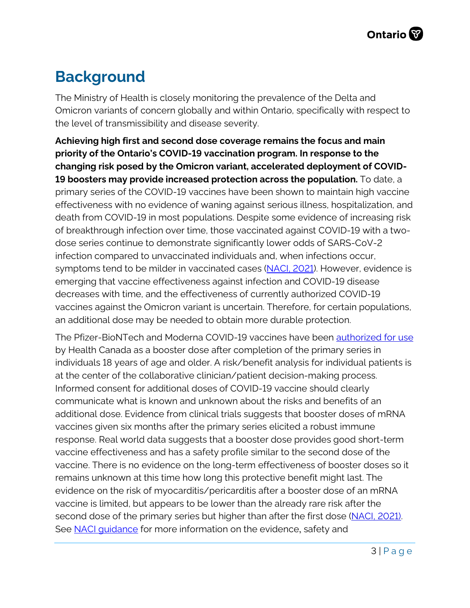# <span id="page-2-0"></span>**Background**

The Ministry of Health is closely monitoring the prevalence of the Delta and Omicron variants of concern globally and within Ontario, specifically with respect to the level of transmissibility and disease severity.

**Achieving high first and second dose coverage remains the focus and main priority of the Ontario's COVID-19 vaccination program. In response to the changing risk posed by the Omicron variant, accelerated deployment of COVID-19 boosters may provide increased protection across the population.** To date, a primary series of the COVID-19 vaccines have been shown to maintain high vaccine effectiveness with no evidence of waning against serious illness, hospitalization, and death from COVID-19 in most populations. Despite some evidence of increasing risk of breakthrough infection over time, those vaccinated against COVID-19 with a twodose series continue to demonstrate significantly lower odds of SARS-CoV-2 infection compared to unvaccinated individuals and, when infections occur, symptoms tend to be milder in vaccinated cases [\(NACI, 2021\)](https://www.canada.ca/content/dam/phac-aspc/documents/services/immunization/national-advisory-committee-on-immunization-naci/guidance-booster-covid-19-vaccine-doses/guidance-booster-covid-19-vaccine-doses.pdf). However, evidence is emerging that vaccine effectiveness against infection and COVID-19 disease decreases with time, and the effectiveness of currently authorized COVID-19 vaccines against the Omicron variant is uncertain. Therefore, for certain populations, an additional dose may be needed to obtain more durable protection.

The Pfizer-BioNTech and Moderna COVID-19 vaccines have been [authorized for use](https://www.canada.ca/en/public-health/services/diseases/coronavirus-disease-covid-19/vaccines.html) by Health Canada as a booster dose after completion of the primary series in individuals 18 years of age and older. A risk/benefit analysis for individual patients is at the center of the collaborative clinician/patient decision-making process. Informed consent for additional doses of COVID-19 vaccine should clearly communicate what is known and unknown about the risks and benefits of an additional dose. Evidence from clinical trials suggests that booster doses of mRNA vaccines given six months after the primary series elicited a robust immune response. Real world data suggests that a booster dose provides good short-term vaccine effectiveness and has a safety profile similar to the second dose of the vaccine. There is no evidence on the long-term effectiveness of booster doses so it remains unknown at this time how long this protective benefit might last. The evidence on the risk of myocarditis/pericarditis after a booster dose of an mRNA vaccine is limited, but appears to be lower than the already rare risk after the second dose of the primary series but higher than after the first dose [\(NACI, 2021\).](https://www.canada.ca/content/dam/phac-aspc/documents/services/immunization/national-advisory-committee-on-immunization-naci/guidance-booster-covid-19-vaccine-doses/guidance-booster-covid-19-vaccine-doses.pdf)  See NACI quidance for more information on the evidence, safety and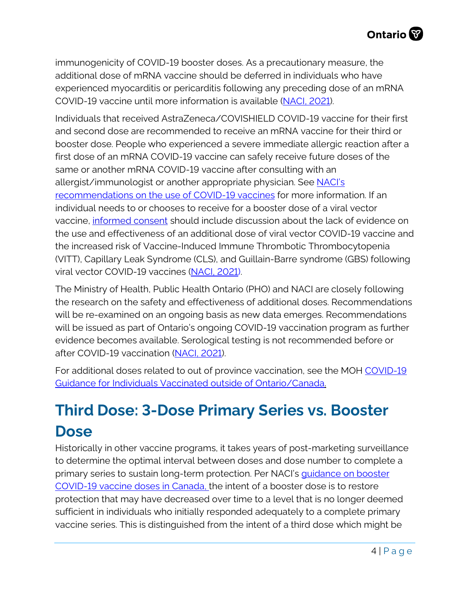immunogenicity of COVID-19 booster doses. As a precautionary measure, the additional dose of mRNA vaccine should be deferred in individuals who have experienced myocarditis or pericarditis following any preceding dose of an mRNA COVID-19 vaccine until more information is available [\(NACI, 2021\)](https://www.canada.ca/en/public-health/services/immunization/national-advisory-committee-on-immunization-naci/statement-september-10-2021-additional-dose-covid-19-vaccine-immunocompromised-following-1-2-dose-series.html).

Individuals that received AstraZeneca/COVISHIELD COVID-19 vaccine for their first and second dose are recommended to receive an mRNA vaccine for their third or booster dose. People who experienced a severe immediate allergic reaction after a first dose of an mRNA COVID-19 vaccine can safely receive future doses of the same or another mRNA COVID-19 vaccine after consulting with an allergist/immunologist or another appropriate physician. See NACI's [recommendations on the use of COVID-19 vaccines](https://www.canada.ca/en/public-health/services/immunization/national-advisory-committee-on-immunization-naci/recommendations-use-covid-19-vaccines/summary-october-22-2021.html) for more information. If an individual needs to or chooses to receive for a booster dose of a viral vector vaccine, [informed consent](https://www.health.gov.on.ca/en/pro/programs/publichealth/coronavirus/docs/vaccine/COVID-19_Janssen_Vaccine.pdf) should include discussion about the lack of evidence on the use and effectiveness of an additional dose of viral vector COVID-19 vaccine and the increased risk of Vaccine-Induced Immune Thrombotic Thrombocytopenia (VITT), Capillary Leak Syndrome (CLS), and Guillain-Barre syndrome (GBS) following viral vector COVID-19 vaccines [\(NACI, 2021\)](https://www.canada.ca/en/public-health/services/immunization/national-advisory-committee-on-immunization-naci/recommendations-use-covid-19-vaccines.html#a7.9).

The Ministry of Health, Public Health Ontario (PHO) and NACI are closely following the research on the safety and effectiveness of additional doses. Recommendations will be re-examined on an ongoing basis as new data emerges. Recommendations will be issued as part of Ontario's ongoing COVID-19 vaccination program as further evidence becomes available. Serological testing is not recommended before or after COVID-19 vaccination [\(NACI, 2021\)](https://www.canada.ca/en/public-health/services/immunization/national-advisory-committee-on-immunization-naci/recommendations-use-covid-19-vaccines.html#a7.9).

For additional doses related to out of province vaccination, see the MOH COVID-19 [Guidance for Individuals Vaccinated outside of Ontario/Canada.](https://www.health.gov.on.ca/en/pro/programs/publichealth/coronavirus/docs/vaccine/COVID-19_guidance_for_individuals_vaccinated_outside_of_ontario.pdf) 

# <span id="page-3-0"></span>**Third Dose: 3-Dose Primary Series vs. Booster Dose**

Historically in other vaccine programs, it takes years of post-marketing surveillance to determine the optimal interval between doses and dose number to complete a primary series to sustain long-term protection. Per NACI's [guidance on booster](https://www.canada.ca/content/dam/phac-aspc/documents/services/immunization/national-advisory-committee-on-immunization-naci/guidance-booster-covid-19-vaccine-doses/guidance-booster-covid-19-vaccine-doses.pdf)  [COVID-19 vaccine doses in Canada,](https://www.canada.ca/content/dam/phac-aspc/documents/services/immunization/national-advisory-committee-on-immunization-naci/guidance-booster-covid-19-vaccine-doses/guidance-booster-covid-19-vaccine-doses.pdf) the intent of a booster dose is to restore protection that may have decreased over time to a level that is no longer deemed sufficient in individuals who initially responded adequately to a complete primary vaccine series. This is distinguished from the intent of a third dose which might be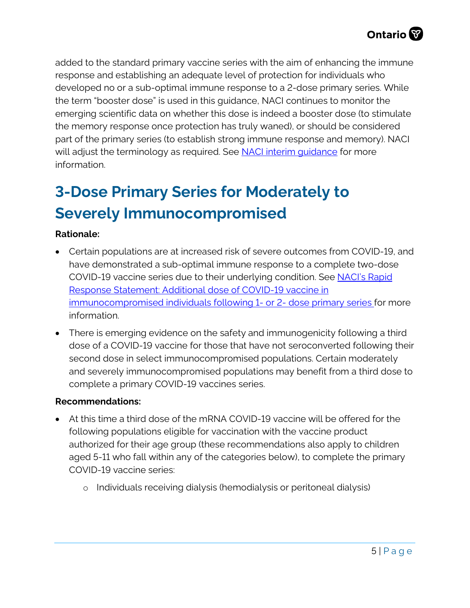added to the standard primary vaccine series with the aim of enhancing the immune response and establishing an adequate level of protection for individuals who developed no or a sub-optimal immune response to a 2-dose primary series. While the term "booster dose" is used in this guidance, NACI continues to monitor the emerging scientific data on whether this dose is indeed a booster dose (to stimulate the memory response once protection has truly waned), or should be considered part of the primary series (to establish strong immune response and memory). NACI will adjust the terminology as required. See NACI interim quidance for more information.

# <span id="page-4-0"></span>**3-Dose Primary Series for Moderately to Severely Immunocompromised**

#### **Rationale:**

- Certain populations are at increased risk of severe outcomes from COVID-19, and have demonstrated a sub-optimal immune response to a complete two-dose COVID-19 vaccine series due to their underlying condition. See [NACI's Rapid](https://www.canada.ca/en/public-health/services/immunization/national-advisory-committee-on-immunization-naci/statement-september-10-2021-additional-dose-covid-19-vaccine-immunocompromised-following-1-2-dose-series.html) [Response Statement: Additional dose of COVID-19 vaccine in](https://www.canada.ca/en/public-health/services/immunization/national-advisory-committee-on-immunization-naci/statement-september-10-2021-additional-dose-covid-19-vaccine-immunocompromised-following-1-2-dose-series.html) [immunocompromised individuals following 1- or 2- dose primary series](https://www.canada.ca/en/public-health/services/immunization/national-advisory-committee-on-immunization-naci/statement-september-10-2021-additional-dose-covid-19-vaccine-immunocompromised-following-1-2-dose-series.html) for more information.
- There is emerging evidence on the safety and immunogenicity following a third dose of a COVID-19 vaccine for those that have not seroconverted following their second dose in select immunocompromised populations. Certain moderately and severely immunocompromised populations may benefit from a third dose to complete a primary COVID-19 vaccines series.

#### **Recommendations:**

- At this time a third dose of the mRNA COVID-19 vaccine will be offered for the following populations eligible for vaccination with the vaccine product authorized for their age group (these recommendations also apply to children aged 5-11 who fall within any of the categories below), to complete the primary COVID-19 vaccine series:
	- o Individuals receiving dialysis (hemodialysis or peritoneal dialysis)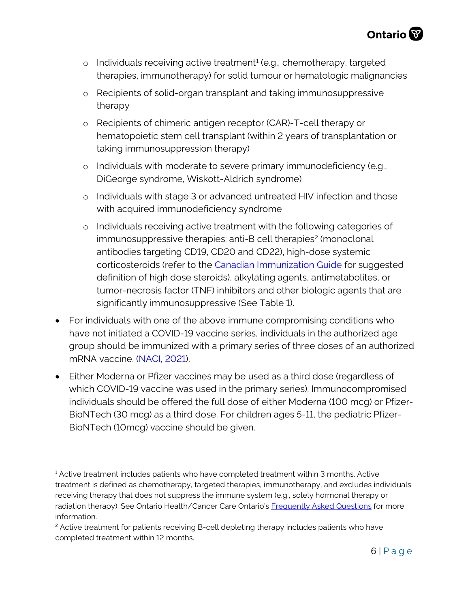- $\circ$  Individuals receiving active treatment<sup>[1](#page-5-0)</sup> (e.g., chemotherapy, targeted therapies, immunotherapy) for solid tumour or hematologic malignancies
- o Recipients of solid-organ transplant and taking immunosuppressive therapy
- o Recipients of chimeric antigen receptor (CAR)-T-cell therapy or hematopoietic stem cell transplant (within 2 years of transplantation or taking immunosuppression therapy)
- o Individuals with moderate to severe primary immunodeficiency (e.g., DiGeorge syndrome, Wiskott-Aldrich syndrome)
- o Individuals with stage 3 or advanced untreated HIV infection and those with acquired immunodeficiency syndrome
- o Individuals receiving active treatment with the following categories of immunosuppressive therapies: anti-B cell therapies<sup>[2](#page-5-1)</sup> (monoclonal antibodies targeting CD19, CD20 and CD22), high-dose systemic corticosteroids (refer to the [Canadian Immunization Guide](https://www.canada.ca/en/public-health/services/publications/healthy-living/canadian-immunization-guide-part-3-vaccination-specific-populations/page-8-immunization-immunocompromised-persons.html) for suggested definition of high dose steroids), alkylating agents, antimetabolites, or tumor-necrosis factor (TNF) inhibitors and other biologic agents that are significantly immunosuppressive (See Table 1).
- For individuals with one of the above immune compromising conditions who have not initiated a COVID-19 vaccine series, individuals in the authorized age group should be immunized with a primary series of three doses of an authorized mRNA vaccine. [\(NACI, 2021\)](https://www.canada.ca/en/public-health/services/immunization/national-advisory-committee-on-immunization-naci/recommendations-use-covid-19-vaccines.html#a7.9).
- Either Moderna or Pfizer vaccines may be used as a third dose (regardless of which COVID-19 vaccine was used in the primary series). Immunocompromised individuals should be offered the full dose of either Moderna (100 mcg) or Pfizer-BioNTech (30 mcg) as a third dose. For children ages 5-11, the pediatric Pfizer-BioNTech (10mcg) vaccine should be given.

<span id="page-5-0"></span> $<sup>1</sup>$  Active treatment includes patients who have completed treatment within 3 months. Active</sup> treatment is defined as chemotherapy, targeted therapies, immunotherapy, and excludes individuals receiving therapy that does not suppress the immune system (e.g., solely hormonal therapy or radiation therapy). See Ontario Health/Cancer Care Ontario's [Frequently Asked Questions](https://www.cancercareontario.ca/sites/ccocancercare/files/assets/COVID-19VaccineClinicianFAQ.pdf) for more information.

<span id="page-5-1"></span><sup>&</sup>lt;sup>2</sup> Active treatment for patients receiving B-cell depleting therapy includes patients who have completed treatment within 12 months.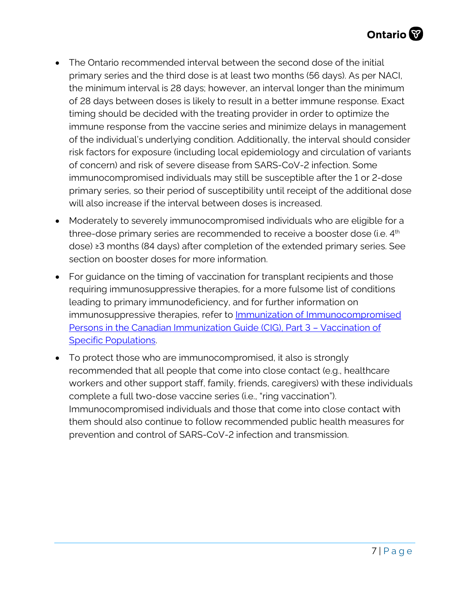- The Ontario recommended interval between the second dose of the initial primary series and the third dose is at least two months (56 days). As per NACI, the minimum interval is 28 days; however, an interval longer than the minimum of 28 days between doses is likely to result in a better immune response. Exact timing should be decided with the treating provider in order to optimize the immune response from the vaccine series and minimize delays in management of the individual's underlying condition. Additionally, the interval should consider risk factors for exposure (including local epidemiology and circulation of variants of concern) and risk of severe disease from SARS-CoV-2 infection. Some immunocompromised individuals may still be susceptible after the 1 or 2-dose primary series, so their period of susceptibility until receipt of the additional dose will also increase if the interval between doses is increased.
- Moderately to severely immunocompromised individuals who are eligible for a three-dose primary series are recommended to receive a booster dose (i.e. 4<sup>th</sup> dose) ≥3 months (84 days) after completion of the extended primary series. See section on booster doses for more information.
- For guidance on the timing of vaccination for transplant recipients and those requiring immunosuppressive therapies, for a more fulsome list of conditions leading to primary immunodeficiency, and for further information on immunosuppressive therapies, refer to **Immunization of Immunocompromised** [Persons in the Canadian Immunization Guide \(CIG\), Part 3 – Vaccination of](https://www.canada.ca/en/public-health/services/publications/healthy-living/canadian-immunization-guide-part-3-vaccination-specific-populations/page-8-immunization-immunocompromised-persons.html)  [Specific Populations.](https://www.canada.ca/en/public-health/services/publications/healthy-living/canadian-immunization-guide-part-3-vaccination-specific-populations/page-8-immunization-immunocompromised-persons.html)
- To protect those who are immunocompromised, it also is strongly recommended that all people that come into close contact (e.g., healthcare workers and other support staff, family, friends, caregivers) with these individuals complete a full two-dose vaccine series (i.e., "ring vaccination"). Immunocompromised individuals and those that come into close contact with them should also continue to follow recommended public health measures for prevention and control of SARS-CoV-2 infection and transmission.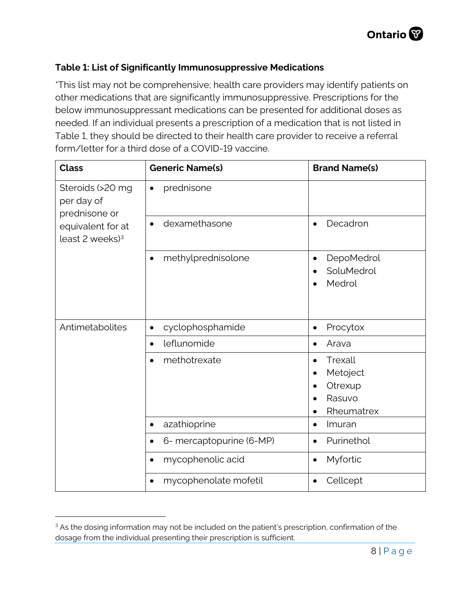#### **Table 1: List of Significantly Immunosuppressive Medications**

\*This list may not be comprehensive; health care providers may identify patients on other medications that are significantly immunosuppressive. Prescriptions for the below immunosuppressant medications can be presented for additional doses as needed. If an individual presents a prescription of a medication that is not listed in Table 1, they should be directed to their health care provider to receive a referral form/letter for a third dose of a COVID-19 vaccine.

| <b>Class</b>                                                                                          | <b>Generic Name(s)</b>                | <b>Brand Name(s)</b>                                                                          |
|-------------------------------------------------------------------------------------------------------|---------------------------------------|-----------------------------------------------------------------------------------------------|
| Steroids (>20 mg<br>per day of<br>prednisone or<br>equivalent for at<br>least $2$ weeks) <sup>3</sup> | prednisone<br>$\bullet$               |                                                                                               |
|                                                                                                       | dexamethasone<br>$\bullet$            | Decadron<br>$\bullet$                                                                         |
|                                                                                                       | methylprednisolone<br>$\bullet$       | DepoMedrol<br>$\bullet$<br>SoluMedrol<br>Medrol                                               |
| Antimetabolites                                                                                       | cyclophosphamide<br>$\bullet$         | Procytox<br>$\bullet$                                                                         |
|                                                                                                       | leflunomide<br>$\bullet$              | Arava<br>$\bullet$                                                                            |
|                                                                                                       | methotrexate                          | Trexall<br>$\bullet$<br>Metoject<br>$\bullet$<br>Otrexup<br>Rasuvo<br>Rheumatrex<br>$\bullet$ |
|                                                                                                       | azathioprine<br>$\bullet$             | Imuran<br>$\bullet$                                                                           |
|                                                                                                       | 6- mercaptopurine (6-MP)<br>$\bullet$ | Purinethol<br>$\bullet$                                                                       |
|                                                                                                       | mycophenolic acid<br>$\bullet$        | Myfortic<br>$\bullet$                                                                         |
|                                                                                                       | mycophenolate mofetil<br>$\bullet$    | Cellcept<br>$\bullet$                                                                         |

<span id="page-7-0"></span><sup>&</sup>lt;sup>3</sup> As the dosing information may not be included on the patient's prescription, confirmation of the dosage from the individual presenting their prescription is sufficient.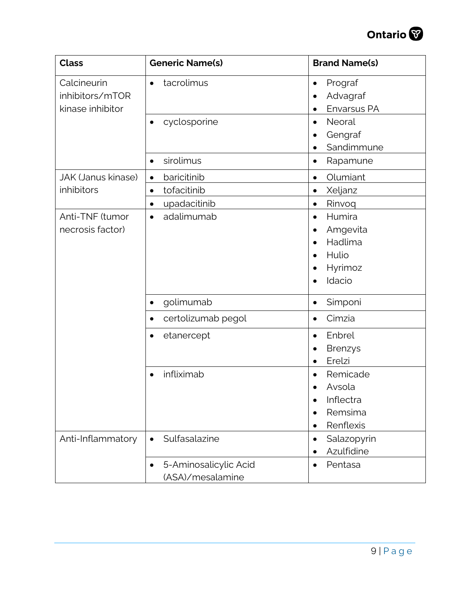

| <b>Class</b>                                       | <b>Generic Name(s)</b>                                                            | <b>Brand Name(s)</b>                                                                                         |
|----------------------------------------------------|-----------------------------------------------------------------------------------|--------------------------------------------------------------------------------------------------------------|
| Calcineurin<br>inhibitors/mTOR<br>kinase inhibitor | tacrolimus<br>$\bullet$                                                           | Prograf<br>$\bullet$<br>Advagraf<br>Envarsus PA                                                              |
|                                                    | cyclosporine<br>$\bullet$                                                         | Neoral<br>$\bullet$<br>Gengraf<br>Sandimmune<br>٠                                                            |
|                                                    | sirolimus<br>$\bullet$                                                            | Rapamune<br>$\bullet$                                                                                        |
| <b>JAK (Janus kinase)</b><br>inhibitors            | baricitinib<br>$\bullet$<br>tofacitinib<br>$\bullet$<br>upadacitinib<br>$\bullet$ | Olumiant<br>$\bullet$<br>Xeljanz<br>$\bullet$<br>Rinvoq<br>$\bullet$                                         |
| Anti-TNF (tumor<br>necrosis factor)                | adalimumab<br>$\bullet$                                                           | Humira<br>$\bullet$<br>Amgevita<br>٠<br>Hadlima<br>Hulio<br>$\bullet$<br>Hyrimoz<br>٠<br>Idacio<br>$\bullet$ |
|                                                    | golimumab<br>$\bullet$                                                            | Simponi<br>$\bullet$                                                                                         |
|                                                    | certolizumab pegol<br>$\bullet$                                                   | Cimzia<br>$\bullet$                                                                                          |
|                                                    | etanercept<br>$\bullet$                                                           | Enbrel<br>$\bullet$<br><b>Brenzys</b><br>Erelzi<br>$\bullet$                                                 |
|                                                    | infliximab                                                                        | Remicade<br>Avsola<br>Inflectra<br>Remsima<br>Renflexis<br>$\bullet$                                         |
| Anti-Inflammatory                                  | Sulfasalazine<br>$\bullet$                                                        | Salazopyrin<br>$\bullet$<br>Azulfidine<br>$\bullet$                                                          |
|                                                    | 5-Aminosalicylic Acid<br>$\bullet$<br>(ASA)/mesalamine                            | Pentasa<br>$\bullet$                                                                                         |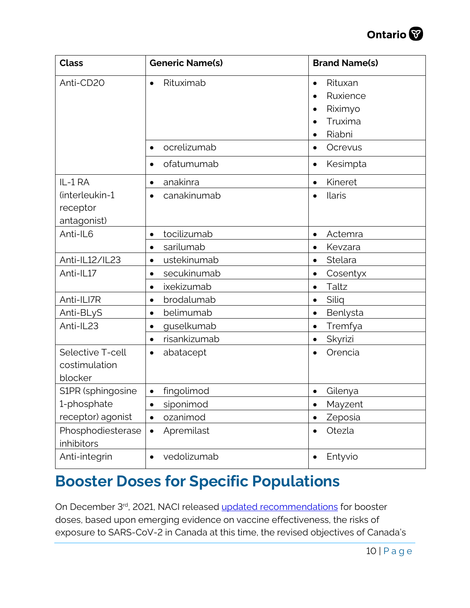

| <b>Class</b>                                 | <b>Generic Name(s)</b>    | <b>Brand Name(s)</b>                                                                                                 |
|----------------------------------------------|---------------------------|----------------------------------------------------------------------------------------------------------------------|
| Anti-CD20                                    | Rituximab<br>$\bullet$    | Rituxan<br>$\bullet$<br>Ruxience<br>$\bullet$<br>Riximyo<br>$\bullet$<br>Truxima<br>$\bullet$<br>Riabni<br>$\bullet$ |
|                                              | ocrelizumab<br>$\bullet$  | Ocrevus<br>$\bullet$                                                                                                 |
|                                              | ofatumumab<br>$\bullet$   | Kesimpta<br>$\bullet$                                                                                                |
| IL-1 RA                                      | anakinra<br>٠             | Kineret<br>$\bullet$                                                                                                 |
| (interleukin-1<br>receptor<br>antagonist)    | canakinumab               | Ilaris<br>$\bullet$                                                                                                  |
| Anti-IL6                                     | tocilizumab<br>$\bullet$  | Actemra<br>$\bullet$                                                                                                 |
|                                              | sarilumab<br>$\bullet$    | Kevzara<br>$\bullet$                                                                                                 |
| Anti-IL12/IL23                               | ustekinumab<br>$\bullet$  | Stelara<br>$\bullet$                                                                                                 |
| Anti-IL17                                    | secukinumab<br>$\bullet$  | Cosentyx<br>$\bullet$                                                                                                |
|                                              | ixekizumab<br>$\bullet$   | Taltz<br>$\bullet$                                                                                                   |
| Anti-ILI7R                                   | brodalumab<br>$\bullet$   | Siliq<br>$\bullet$                                                                                                   |
| Anti-BLyS                                    | belimumab<br>$\bullet$    | Benlysta<br>$\bullet$                                                                                                |
| Anti-IL23                                    | guselkumab<br>$\bullet$   | Tremfya<br>$\bullet$                                                                                                 |
|                                              | risankizumab<br>$\bullet$ | Skyrizi<br>$\bullet$                                                                                                 |
| Selective T-cell<br>costimulation<br>blocker | abatacept<br>$\bullet$    | Orencia<br>$\bullet$                                                                                                 |
| S1PR (sphingosine                            | fingolimod<br>$\bullet$   | Gilenya<br>$\bullet$                                                                                                 |
| 1-phosphate                                  | siponimod                 | Mayzent<br>$\bullet$                                                                                                 |
| receptor) agonist                            | ozanimod<br>$\bullet$     | Zeposia<br>$\bullet$                                                                                                 |
| Phosphodiesterase<br>inhibitors              | Apremilast<br>$\bullet$   | Otezla<br>$\bullet$                                                                                                  |
| Anti-integrin                                | vedolizumab<br>$\bullet$  | Entyvio<br>$\bullet$                                                                                                 |

# **Booster Doses for Specific Populations**

On December 3rd, 2021, NACI released [updated recommendations](https://www.canada.ca/content/dam/phac-aspc/documents/services/immunization/national-advisory-committee-on-immunization-naci/guidance-booster-covid-19-vaccine-doses/guidance-booster-covid-19-vaccine-doses.pdf) for booster doses, based upon emerging evidence on vaccine effectiveness, the risks of exposure to SARS-CoV-2 in Canada at this time, the revised objectives of Canada's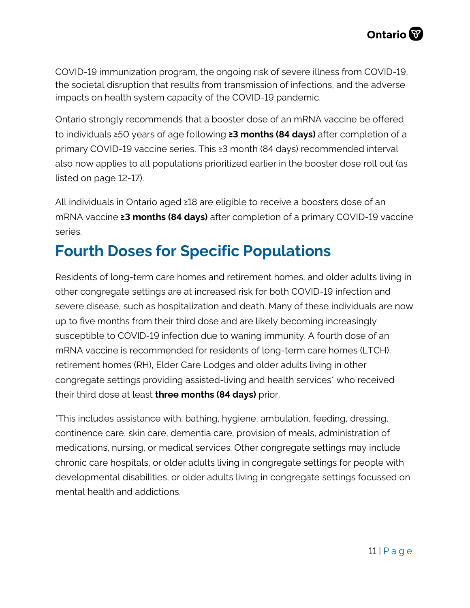<span id="page-10-1"></span>COVID-19 immunization program, the ongoing risk of severe illness from COVID-19, the societal disruption that results from transmission of infections, and the adverse impacts on health system capacity of the COVID-19 pandemic.

Ontario strongly recommends that a booster dose of an mRNA vaccine be offered to individuals ≥50 years of age following **≥3 months (84 days)** after completion of a primary COVID-19 vaccine series. This ≥3 month (84 days) recommended interval also now applies to all populations prioritized earlier in the booster dose roll out (as listed on page 12-17).

All individuals in Ontario aged ≥18 are eligible to receive a boosters dose of an mRNA vaccine **≥3 months (84 days)** after completion of a primary COVID-19 vaccine series.

# <span id="page-10-0"></span>**Fourth Doses for Specific Populations**

Residents of long-term care homes and retirement homes, and older adults living in other congregate settings are at increased risk for both COVID-19 infection and severe disease, such as hospitalization and death. Many of these individuals are now up to five months from their third dose and are likely becoming increasingly susceptible to COVID-19 infection due to waning immunity. A fourth dose of an mRNA vaccine is recommended for residents of long-term care homes (LTCH), retirement homes (RH), Elder Care Lodges and older adults living in other congregate settings providing assisted-living and health services\* who received their third dose at least **three months (84 days)** prior.

<span id="page-10-2"></span>\*This includes assistance with: bathing, hygiene, ambulation, feeding, dressing, continence care, skin care, dementia care, provision of meals, administration of medications, nursing, or medical services. Other congregate settings may include chronic care hospitals, or older adults living in congregate settings for people with developmental disabilities, or older adults living in congregate settings focussed on mental health and addictions.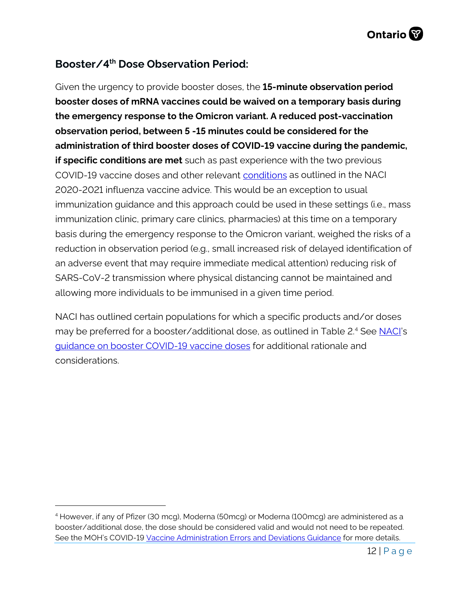# **Booster/4th Dose Observation Period:**

Given the urgency to provide booster doses, the **15-minute observation period booster doses of mRNA vaccines could be waived on a temporary basis during the emergency response to the Omicron variant. A reduced post-vaccination observation period, between 5 -15 minutes could be considered for the administration of third booster doses of COVID-19 vaccine during the pandemic, if specific conditions are met** such as past experience with the two previous COVID-19 vaccine doses and other relevant [conditions](https://www.canada.ca/en/public-health/services/immunization/national-advisory-committee-on-immunization-naci/recommendations-duration-observation-period-post-influenza-vaccination-during-covid-19-pandemic.html) as outlined in the NACI 2020-2021 influenza vaccine advice. This would be an exception to usual immunization guidance and this approach could be used in these settings (i.e., mass immunization clinic, primary care clinics, pharmacies) at this time on a temporary basis during the emergency response to the Omicron variant, weighed the risks of a reduction in observation period (e.g., small increased risk of delayed identification of an adverse event that may require immediate medical attention) reducing risk of SARS-CoV-2 transmission where physical distancing cannot be maintained and allowing more individuals to be immunised in a given time period.

<span id="page-11-0"></span>NACI has outlined certain populations for which a specific products and/or doses may be preferred for a booster/additional dose, as outlined in Table 2[.4](#page-11-1) See [NACI's](https://www.canada.ca/content/dam/phac-aspc/documents/services/immunization/national-advisory-committee-on-immunization-naci/guidance-booster-covid-19-vaccine-doses/guidance-booster-covid-19-vaccine-doses.pdf) [guidance on booster COVID-19 vaccine doses](https://www.canada.ca/content/dam/phac-aspc/documents/services/immunization/national-advisory-committee-on-immunization-naci/guidance-booster-covid-19-vaccine-doses/guidance-booster-covid-19-vaccine-doses.pdf) for additional rationale and considerations.

<span id="page-11-1"></span><sup>4</sup> However, if any of Pfizer (30 mcg), Moderna (50mcg) or Moderna (100mcg) are administered as a booster/additional dose, the dose should be considered valid and would not need to be repeated. See the MOH's COVID-1[9 Vaccine Administration Errors and Deviations Guidance](https://www.health.gov.on.ca/en/pro/programs/publichealth/coronavirus/docs/vaccine/COVID-19_guidance_for_administration_errors_deviations.pdf) for more details.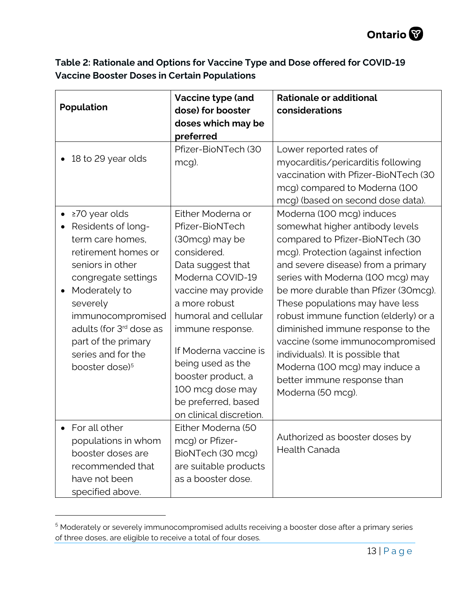| Table 2: Rationale and Options for Vaccine Type and Dose offered for COVID-19 |
|-------------------------------------------------------------------------------|
| <b>Vaccine Booster Doses in Certain Populations</b>                           |

| <b>Population</b>                                                                                                                                                                                                                                                                             | Vaccine type (and<br>dose) for booster<br>doses which may be<br>preferred                                                                                                                                                                                                                                                                    | <b>Rationale or additional</b><br>considerations                                                                                                                                                                                                                                                                                                                                                                                                                                                                                         |
|-----------------------------------------------------------------------------------------------------------------------------------------------------------------------------------------------------------------------------------------------------------------------------------------------|----------------------------------------------------------------------------------------------------------------------------------------------------------------------------------------------------------------------------------------------------------------------------------------------------------------------------------------------|------------------------------------------------------------------------------------------------------------------------------------------------------------------------------------------------------------------------------------------------------------------------------------------------------------------------------------------------------------------------------------------------------------------------------------------------------------------------------------------------------------------------------------------|
| 18 to 29 year olds                                                                                                                                                                                                                                                                            | Pfizer-BioNTech (30<br>mcg).                                                                                                                                                                                                                                                                                                                 | Lower reported rates of<br>myocarditis/pericarditis following<br>vaccination with Pfizer-BioNTech (30<br>mcg) compared to Moderna (100<br>mcg) (based on second dose data).                                                                                                                                                                                                                                                                                                                                                              |
| ≥70 year olds<br>Residents of long-<br>term care homes,<br>retirement homes or<br>seniors in other<br>congregate settings<br>Moderately to<br>severely<br>immunocompromised<br>adults (for 3 <sup>rd</sup> dose as<br>part of the primary<br>series and for the<br>booster dose) <sup>5</sup> | Either Moderna or<br>Pfizer-BioNTech<br>(30mcg) may be<br>considered.<br>Data suggest that<br>Moderna COVID-19<br>vaccine may provide<br>a more robust<br>humoral and cellular<br>immune response.<br>If Moderna vaccine is<br>being used as the<br>booster product, a<br>100 mcg dose may<br>be preferred, based<br>on clinical discretion. | Moderna (100 mcg) induces<br>somewhat higher antibody levels<br>compared to Pfizer-BioNTech (30<br>mcg). Protection (against infection<br>and severe disease) from a primary<br>series with Moderna (100 mcg) may<br>be more durable than Pfizer (30mcg).<br>These populations may have less<br>robust immune function (elderly) or a<br>diminished immune response to the<br>vaccine (some immunocompromised<br>individuals). It is possible that<br>Moderna (100 mcg) may induce a<br>better immune response than<br>Moderna (50 mcg). |
| For all other<br>populations in whom<br>booster doses are<br>recommended that<br>have not been<br>specified above.                                                                                                                                                                            | Either Moderna (50<br>mcg) or Pfizer-<br>BioNTech (30 mcg)<br>are suitable products<br>as a booster dose.                                                                                                                                                                                                                                    | Authorized as booster doses by<br><b>Health Canada</b>                                                                                                                                                                                                                                                                                                                                                                                                                                                                                   |

<span id="page-12-0"></span><sup>&</sup>lt;sup>5</sup> Moderately or severely immunocompromised adults receiving a booster dose after a primary series of three doses, are eligible to receive a total of four doses.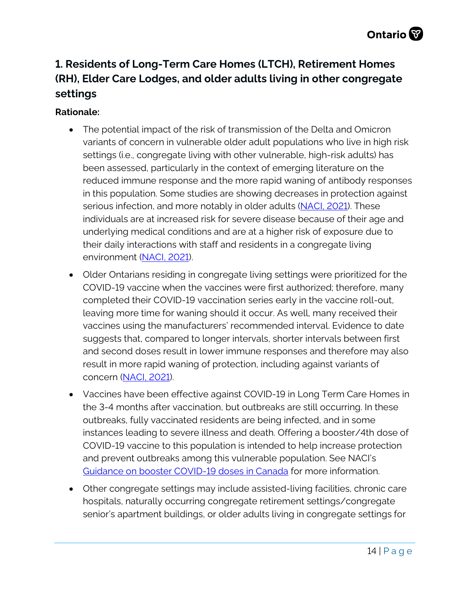# <span id="page-13-0"></span>**1. Residents of Long-Term Care Homes (LTCH), Retirement Homes (RH), Elder Care Lodges, and older adults living in other congregate settings**

- The potential impact of the risk of transmission of the Delta and Omicron variants of concern in vulnerable older adult populations who live in high risk settings (i.e., congregate living with other vulnerable, high-risk adults) has been assessed, particularly in the context of emerging literature on the reduced immune response and the more rapid waning of antibody responses in this population. Some studies are showing decreases in protection against serious infection, and more notably in older adults [\(NACI, 2021\)](https://www.canada.ca/content/dam/phac-aspc/documents/services/immunization/national-advisory-committee-on-immunization-naci/guidance-booster-covid-19-vaccine-doses/guidance-booster-covid-19-vaccine-doses.pdf). These individuals are at increased risk for severe disease because of their age and underlying medical conditions and are at a higher risk of exposure due to their daily interactions with staff and residents in a congregate living environment [\(NACI, 2021\)](https://www.canada.ca/en/public-health/services/immunization/national-advisory-committee-on-immunization-naci/statement-september-28-2021-booster-dose-long-term-care-residents-seniors-living-other-congregate-settings.html).
- Older Ontarians residing in congregate living settings were prioritized for the COVID-19 vaccine when the vaccines were first authorized; therefore, many completed their COVID-19 vaccination series early in the vaccine roll-out, leaving more time for waning should it occur. As well, many received their vaccines using the manufacturers' recommended interval. Evidence to date suggests that, compared to longer intervals, shorter intervals between first and second doses result in lower immune responses and therefore may also result in more rapid waning of protection, including against variants of concern [\(NACI, 2021\)](https://www.canada.ca/en/public-health/services/immunization/national-advisory-committee-on-immunization-naci/statement-september-28-2021-booster-dose-long-term-care-residents-seniors-living-other-congregate-settings.html).
- Vaccines have been effective against COVID-19 in Long Term Care Homes in the 3-4 months after vaccination, but outbreaks are still occurring. In these outbreaks, fully vaccinated residents are being infected, and in some instances leading to severe illness and death. Offering a booster/4th dose of COVID-19 vaccine to this population is intended to help increase protection and prevent outbreaks among this vulnerable population. See NACI's Guidance [on booster COVID-19 doses in Canada](https://www.canada.ca/content/dam/phac-aspc/documents/services/immunization/national-advisory-committee-on-immunization-naci/guidance-booster-covid-19-vaccine-doses/guidance-booster-covid-19-vaccine-doses.pdf) for more information.
- Other congregate settings may include assisted-living facilities, chronic care hospitals, naturally occurring congregate retirement settings/congregate senior's apartment buildings, or older adults living in congregate settings for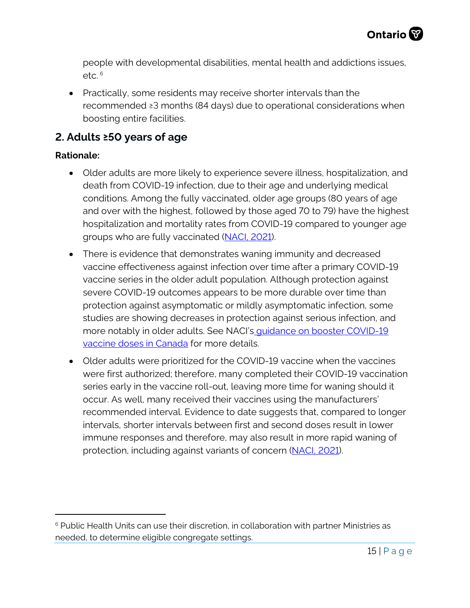people with developmental disabilities, mental health and addictions issues,  $etc.$ <sup>[6](#page-14-2)</sup>

• Practically, some residents may receive shorter intervals than the recommended ≥3 months (84 days) due to operational considerations when boosting entire facilities.

# <span id="page-14-0"></span>**2. Adults ≥50 years of age**

- Older adults are more likely to experience severe illness, hospitalization, and death from COVID-19 infection, due to their age and underlying medical conditions. Among the fully vaccinated, older age groups (80 years of age and over with the highest, followed by those aged 70 to 79) have the highest hospitalization and mortality rates from COVID-19 compared to younger age groups who are fully vaccinated [\(NACI, 2021\)](https://www.canada.ca/content/dam/phac-aspc/documents/services/immunization/national-advisory-committee-on-immunization-naci/recommendations-use-covid-19-vaccines/statement-guidance-booster-doses/statement-guidance-booster-doses.pdf).
- There is evidence that demonstrates waning immunity and decreased vaccine effectiveness against infection over time after a primary COVID-19 vaccine series in the older adult population. Although protection against severe COVID-19 outcomes appears to be more durable over time than protection against asymptomatic or mildly asymptomatic infection, some studies are showing decreases in protection against serious infection, and more notably in older adults. See NACI's [guidance on booster COVID-19](https://www.canada.ca/content/dam/phac-aspc/documents/services/immunization/national-advisory-committee-on-immunization-naci/guidance-booster-covid-19-vaccine-doses/guidance-booster-covid-19-vaccine-doses.pdf)  [vaccine doses in Canada](https://www.canada.ca/content/dam/phac-aspc/documents/services/immunization/national-advisory-committee-on-immunization-naci/guidance-booster-covid-19-vaccine-doses/guidance-booster-covid-19-vaccine-doses.pdf) for more details.
- <span id="page-14-1"></span>• Older adults were prioritized for the COVID-19 vaccine when the vaccines were first authorized; therefore, many completed their COVID-19 vaccination series early in the vaccine roll-out, leaving more time for waning should it occur. As well, many received their vaccines using the manufacturers' recommended interval. Evidence to date suggests that, compared to longer intervals, shorter intervals between first and second doses result in lower immune responses and therefore, may also result in more rapid waning of protection, including against variants of concern [\(NACI, 2021\)](https://www.canada.ca/content/dam/phac-aspc/documents/services/immunization/national-advisory-committee-on-immunization-naci/recommendations-use-covid-19-vaccines/statement-guidance-booster-doses/statement-guidance-booster-doses.pdf).

<span id="page-14-2"></span><sup>&</sup>lt;sup>6</sup> Public Health Units can use their discretion, in collaboration with partner Ministries as needed, to determine eligible congregate settings.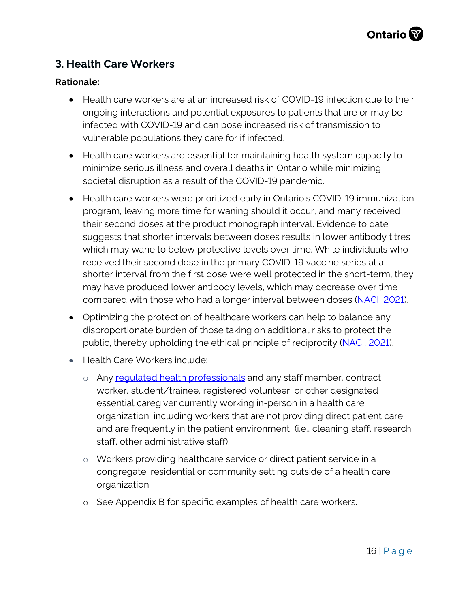# **3. Health Care Workers**

- Health care workers are at an increased risk of COVID-19 infection due to their ongoing interactions and potential exposures to patients that are or may be infected with COVID-19 and can pose increased risk of transmission to vulnerable populations they care for if infected.
- Health care workers are essential for maintaining health system capacity to minimize serious illness and overall deaths in Ontario while minimizing societal disruption as a result of the COVID-19 pandemic.
- Health care workers were prioritized early in Ontario's COVID-19 immunization program, leaving more time for waning should it occur, and many received their second doses at the product monograph interval. Evidence to date suggests that shorter intervals between doses results in lower antibody titres which may wane to below protective levels over time. While individuals who received their second dose in the primary COVID-19 vaccine series at a shorter interval from the first dose were well protected in the short-term, they may have produced lower antibody levels, which may decrease over time compared with those who had a longer interval between doses [\(NACI, 2021\)](https://www.canada.ca/content/dam/phac-aspc/documents/services/immunization/national-advisory-committee-on-immunization-naci/recommendations-use-covid-19-vaccines/statement-guidance-booster-doses/statement-guidance-booster-doses.pdf).
- Optimizing the protection of healthcare workers can help to balance any disproportionate burden of those taking on additional risks to protect the public, thereby upholding the ethical principle of reciprocity [\(NACI, 2021\)](https://www.canada.ca/content/dam/phac-aspc/documents/services/immunization/national-advisory-committee-on-immunization-naci/recommendations-use-covid-19-vaccines/statement-guidance-booster-doses/statement-guidance-booster-doses.pdf).
- Health Care Workers include:
	- o Any requiated health professionals and any staff member, contract worker, student/trainee, registered volunteer, or other designated essential caregiver currently working in-person in a health care organization, including workers that are not providing direct patient care and are frequently in the patient environment (i.e., cleaning staff, research staff, other administrative staff).
	- o Workers providing healthcare service or direct patient service in a congregate, residential or community setting outside of a health care organization.
	- o See Appendix B for specific examples of health care workers.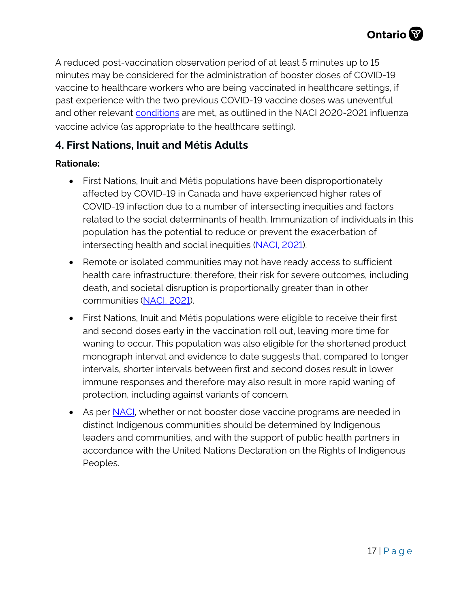A reduced post-vaccination observation period of at least 5 minutes up to 15 minutes may be considered for the administration of booster doses of COVID-19 vaccine to healthcare workers who are being vaccinated in healthcare settings, if past experience with the two previous COVID-19 vaccine doses was uneventful and other relevant [conditions](https://www.canada.ca/en/public-health/services/immunization/national-advisory-committee-on-immunization-naci/recommendations-duration-observation-period-post-influenza-vaccination-during-covid-19-pandemic.html) are met, as outlined in the NACI 2020-2021 influenza vaccine advice (as appropriate to the healthcare setting).

# <span id="page-16-0"></span>**4. First Nations, Inuit and Métis Adults**

- First Nations, Inuit and Métis populations have been disproportionately affected by COVID-19 in Canada and have experienced higher rates of COVID-19 infection due to a number of intersecting inequities and factors related to the social determinants of health. Immunization of individuals in this population has the potential to reduce or prevent the exacerbation of intersecting health and social inequities [\(NACI, 2021\)](https://www.canada.ca/content/dam/phac-aspc/documents/services/immunization/national-advisory-committee-on-immunization-naci/recommendations-use-covid-19-vaccines/statement-guidance-booster-doses/statement-guidance-booster-doses.pdf).
- Remote or isolated communities may not have ready access to sufficient health care infrastructure; therefore, their risk for severe outcomes, including death, and societal disruption is proportionally greater than in other communities [\(NACI, 2021\)](https://www.canada.ca/content/dam/phac-aspc/documents/services/immunization/national-advisory-committee-on-immunization-naci/recommendations-use-covid-19-vaccines/statement-guidance-booster-doses/statement-guidance-booster-doses.pdf).
- First Nations, Inuit and Métis populations were eligible to receive their first and second doses early in the vaccination roll out, leaving more time for waning to occur. This population was also eligible for the shortened product monograph interval and evidence to date suggests that, compared to longer intervals, shorter intervals between first and second doses result in lower immune responses and therefore may also result in more rapid waning of protection, including against variants of concern.
- <span id="page-16-1"></span>• As per [NACI,](https://www.canada.ca/content/dam/phac-aspc/documents/services/immunization/national-advisory-committee-on-immunization-naci/recommendations-use-covid-19-vaccines/statement-guidance-booster-doses/statement-guidance-booster-doses.pdf) whether or not booster dose vaccine programs are needed in distinct Indigenous communities should be determined by Indigenous leaders and communities, and with the support of public health partners in accordance with the United Nations Declaration on the Rights of Indigenous Peoples.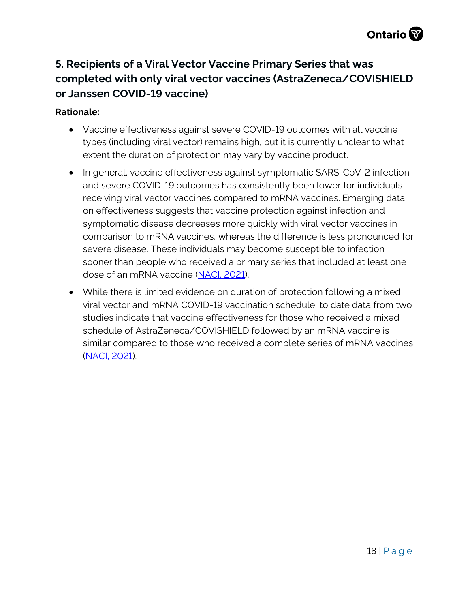# **5. Recipients of a Viral Vector Vaccine Primary Series that was completed with only viral vector vaccines (AstraZeneca/COVISHIELD or Janssen COVID-19 vaccine)**

- Vaccine effectiveness against severe COVID-19 outcomes with all vaccine types (including viral vector) remains high, but it is currently unclear to what extent the duration of protection may vary by vaccine product.
- In general, vaccine effectiveness against symptomatic SARS-CoV-2 infection and severe COVID-19 outcomes has consistently been lower for individuals receiving viral vector vaccines compared to mRNA vaccines. Emerging data on effectiveness suggests that vaccine protection against infection and symptomatic disease decreases more quickly with viral vector vaccines in comparison to mRNA vaccines, whereas the difference is less pronounced for severe disease. These individuals may become susceptible to infection sooner than people who received a primary series that included at least one dose of an mRNA vaccine [\(NACI, 2021\)](https://www.canada.ca/content/dam/phac-aspc/documents/services/immunization/national-advisory-committee-on-immunization-naci/recommendations-use-covid-19-vaccines/statement-guidance-booster-doses/statement-guidance-booster-doses.pdf).
- While there is limited evidence on duration of protection following a mixed viral vector and mRNA COVID-19 vaccination schedule, to date data from two studies indicate that vaccine effectiveness for those who received a mixed schedule of AstraZeneca/COVISHIELD followed by an mRNA vaccine is similar compared to those who received a complete series of mRNA vaccines [\(NACI, 2021\)](https://www.canada.ca/content/dam/phac-aspc/documents/services/immunization/national-advisory-committee-on-immunization-naci/recommendations-use-covid-19-vaccines/statement-guidance-booster-doses/statement-guidance-booster-doses.pdf).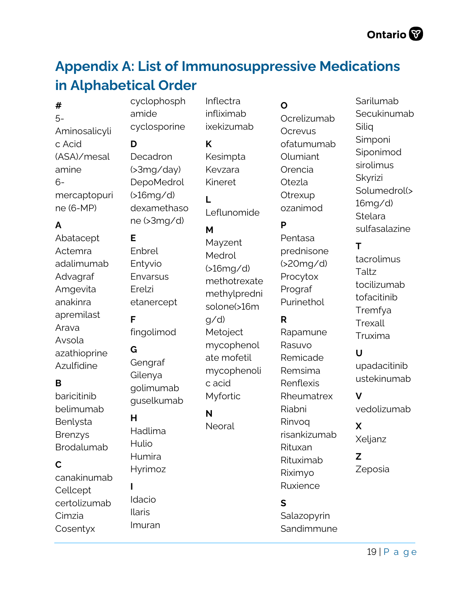# <span id="page-18-0"></span>**Appendix A: List of Immunosuppressive Medications in Alphabetical Order**

Inflectra infliximab ixekizumab

**#** 

5- Aminosalicyli c Acid (ASA)/mesal amine 6 mercaptopuri ne (6-MP)

# **A**

Abatacept Actemra adalimumab Advagraf Amgevita anakinra apremilast Arava Avsola azathioprine Azulfidine

## **B**

baricitinib belimumab Benlysta Brenzys Brodalumab

## **C**

canakinumab **Cellcept** certolizumab Cimzia Cosentyx

cyclophosph amide cyclosporine

**D** 

**E** 

**F** 

**G** 

**H** 

**I** 

Enbrel Entyvio **Envarsus** Erelzi

etanercept

fingolimod

Gengraf Gilenya golimumab guselkumab

Decadron (>3mg/day) DepoMedrol (>16mg/d) dexamethaso ne (>3mg/d)

**K**  Kesimpta Kevzara Kineret

Leflunomide

#### **M**

**L** 

Mayzent Medrol (>16mg/d) methotrexate methylpredni solone(>16m g/d) Metoject mycophenol ate mofetil mycophenoli c acid Myfortic

# **N**

Neoral

Hadlima Hulio Humira Hyrimoz

Idacio Ilaris Imuran

# **O**

Ocrelizumab **Ocrevus** ofatumumab Olumiant Orencia Otezla Otrexup ozanimod

# **P**

Pentasa prednisone (>20mg/d) Procytox Prograf Purinethol

## **R**

Rapamune Rasuvo Remicade Remsima Renflexis Rheumatrex Riabni Rinvoq risankizumab Rituxan Rituximab Riximyo Ruxience

## **S**

Salazopyrin **Sandimmune**  Sarilumab **Secukinumab** Siliq Simponi Siponimod sirolimus Skyrizi Solumedrol(> 16mg/d) **Stelara** sulfasalazine

# **T**

tacrolimus Taltz tocilizumab tofacitinib Tremfya Trexall Truxima

## **U**

upadacitinib ustekinumab

## **V**

vedolizumab

#### **X**  Xeljanz

**Z**  Zeposia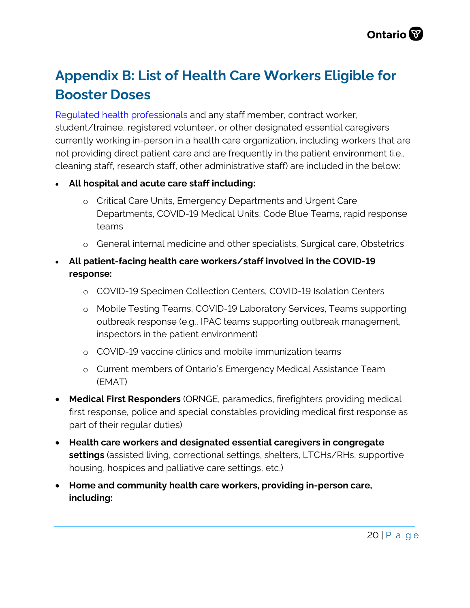# <span id="page-19-0"></span>**Appendix B: List of Health Care Workers Eligible for Booster Doses**

[Regulated health professionals](https://www.health.gov.on.ca/en/pro/programs/hhrsd/about/regulated_professions.aspx) and any staff member, contract worker, student/trainee, registered volunteer, or other designated essential caregivers currently working in-person in a health care organization, including workers that are not providing direct patient care and are frequently in the patient environment (i.e., cleaning staff, research staff, other administrative staff) are included in the below:

- **All hospital and acute care staff including:**
	- o Critical Care Units, Emergency Departments and Urgent Care Departments, COVID-19 Medical Units, Code Blue Teams, rapid response teams
	- o General internal medicine and other specialists, Surgical care, Obstetrics
- **All patient-facing health care workers/staff involved in the COVID-19 response:**
	- o COVID-19 Specimen Collection Centers, COVID-19 Isolation Centers
	- o Mobile Testing Teams, COVID-19 Laboratory Services, Teams supporting outbreak response (e.g., IPAC teams supporting outbreak management, inspectors in the patient environment)
	- o COVID-19 vaccine clinics and mobile immunization teams
	- o Current members of Ontario's Emergency Medical Assistance Team (EMAT)
- **Medical First Responders** (ORNGE, paramedics, firefighters providing medical first response, police and special constables providing medical first response as part of their regular duties)
- **Health care workers and designated essential caregivers in congregate settings** (assisted living, correctional settings, shelters, LTCHs/RHs, supportive housing, hospices and palliative care settings, etc.)
- **Home and community health care workers, providing in-person care, including:**